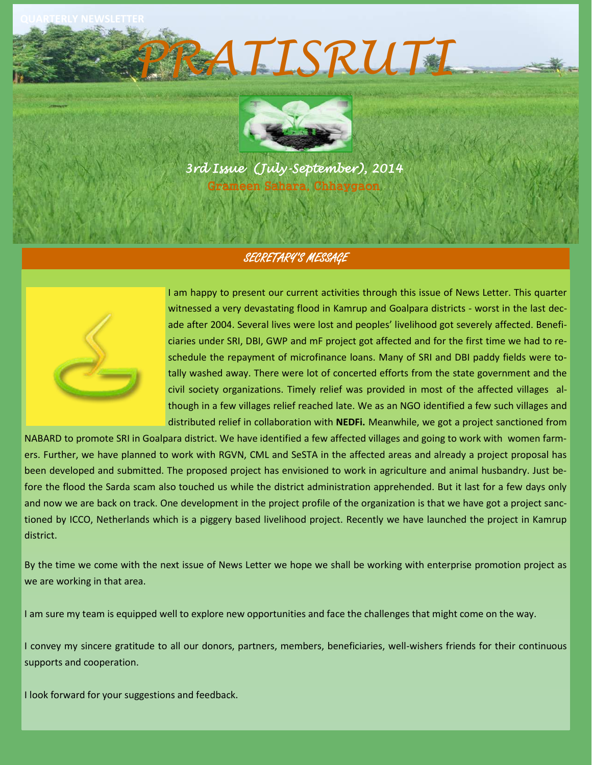**QUARTERLY NEWSLETTER**



*PRATISRUTI* 

*3rd Issue (July-September), 2014*  Grameen Sahara, Chhaygaon

# SECRETARY'S MESSAGE



I am happy to present our current activities through this issue of News Letter. This quarter witnessed a very devastating flood in Kamrup and Goalpara districts - worst in the last decade after 2004. Several lives were lost and peoples' livelihood got severely affected. Beneficiaries under SRI, DBI, GWP and mF project got affected and for the first time we had to reschedule the repayment of microfinance loans. Many of SRI and DBI paddy fields were totally washed away. There were lot of concerted efforts from the state government and the civil society organizations. Timely relief was provided in most of the affected villages although in a few villages relief reached late. We as an NGO identified a few such villages and distributed relief in collaboration with **NEDFi.** Meanwhile, we got a project sanctioned from

NABARD to promote SRI in Goalpara district. We have identified a few affected villages and going to work with women farmers. Further, we have planned to work with RGVN, CML and SeSTA in the affected areas and already a project proposal has been developed and submitted. The proposed project has envisioned to work in agriculture and animal husbandry. Just before the flood the Sarda scam also touched us while the district administration apprehended. But it last for a few days only and now we are back on track. One development in the project profile of the organization is that we have got a project sanctioned by ICCO, Netherlands which is a piggery based livelihood project. Recently we have launched the project in Kamrup district.

By the time we come with the next issue of News Letter we hope we shall be working with enterprise promotion project as we are working in that area.

I am sure my team is equipped well to explore new opportunities and face the challenges that might come on the way.

I convey my sincere gratitude to all our donors, partners, members, beneficiaries, well-wishers friends for their continuous supports and cooperation.

I look forward for your suggestions and feedback.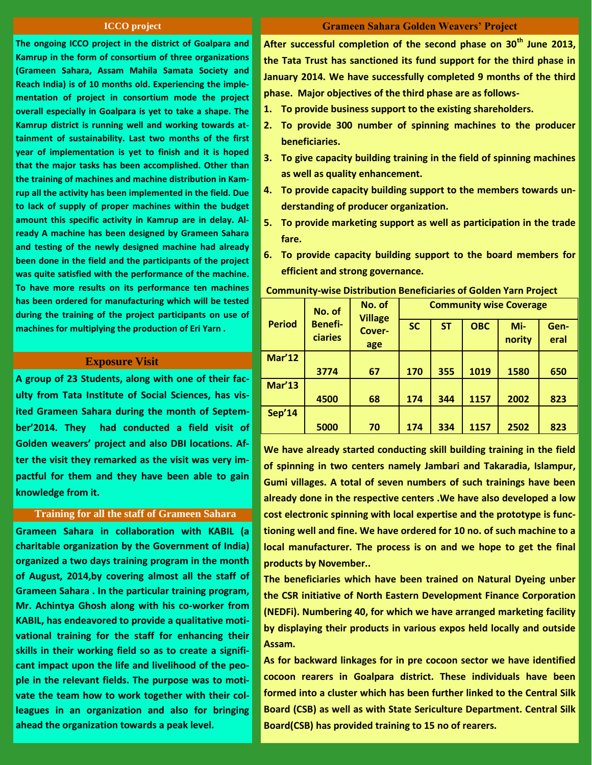#### **ICCO project**

**The ongoing ICCO project in the district of Goalpara and Kamrup in the form of consortium of three organizations (Grameen Sahara, Assam Mahila Samata Society and Reach India) is of 10 months old. Experiencing the implementation of project in consortium mode the project overall especially in Goalpara is yet to take a shape. The Kamrup district is running well and working towards attainment of sustainability. Last two months of the first year of implementation is yet to finish and it is hoped that the major tasks has been accomplished. Other than the training of machines and machine distribution in Kamrup all the activity has been implemented in the field. Due to lack of supply of proper machines within the budget amount this specific activity in Kamrup are in delay. Already A machine has been designed by Grameen Sahara and testing of the newly designed machine had already been done in the field and the participants of the project was quite satisfied with the performance of the machine. To have more results on its performance ten machines has been ordered for manufacturing which will be tested during the training of the project participants on use of machines for multiplying the production of Eri Yarn .**

#### **Exposure Visit**

**A group of 23 Students, along with one of their faculty from Tata Institute of Social Sciences, has visited Grameen Sahara during the month of September'2014. They had conducted a field visit of Golden weavers' project and also DBI locations. After the visit they remarked as the visit was very impactful for them and they have been able to gain knowledge from it.**

# **Training for all the staff of Grameen Sahara**

**Grameen Sahara in collaboration with KABIL (a charitable organization by the Government of India) organized a two days training program in the month of August, 2014,by covering almost all the staff of Grameen Sahara . In the particular training program, Mr. Achintya Ghosh along with his co-worker from KABIL, has endeavored to provide a qualitative motivational training for the staff for enhancing their skills in their working field so as to create a significant impact upon the life and livelihood of the people in the relevant fields. The purpose was to motivate the team how to work together with their colleagues in an organization and also for bringing ahead the organization towards a peak level.** 

## **Grameen Sahara Golden Weavers' Project**

**After successful completion of the second phase on 30th June 2013, the Tata Trust has sanctioned its fund support for the third phase in January 2014. We have successfully completed 9 months of the third phase. Major objectives of the third phase are as follows-**

- **1. To provide business support to the existing shareholders.**
- **2. To provide 300 number of spinning machines to the producer beneficiaries.**
- **3. To give capacity building training in the field of spinning machines as well as quality enhancement.**
- **4. To provide capacity building support to the members towards understanding of producer organization.**
- **5. To provide marketing support as well as participation in the trade fare.**
- **6. To provide capacity building support to the board members for efficient and strong governance.**

| <b>Period</b> | No. of<br><b>Benefi-</b><br>ciaries | No. of<br><b>Village</b><br>Cover-<br>age | <b>Community wise Coverage</b> |           |            |               |              |
|---------------|-------------------------------------|-------------------------------------------|--------------------------------|-----------|------------|---------------|--------------|
|               |                                     |                                           | <b>SC</b>                      | <b>ST</b> | <b>OBC</b> | Mi-<br>nority | Gen-<br>eral |
| <b>Mar'12</b> |                                     |                                           |                                |           |            |               |              |
|               | 3774                                | 67                                        | 170                            | 355       | 1019       | 1580          | 650          |
| <b>Mar'13</b> |                                     |                                           |                                |           |            |               |              |
|               | 4500                                | 68                                        | 174                            | 344       | 1157       | 2002          | 823          |
| <b>Sep'14</b> |                                     |                                           |                                |           |            |               |              |
|               | 5000                                | 70                                        | 174                            | 334       | 1157       | 2502          | 823          |

#### **Community-wise Distribution Beneficiaries of Golden Yarn Project**

**We have already started conducting skill building training in the field of spinning in two centers namely Jambari and Takaradia, Islampur, Gumi villages. A total of seven numbers of such trainings have been already done in the respective centers .We have also developed a low cost electronic spinning with local expertise and the prototype is functioning well and fine. We have ordered for 10 no. of such machine to a local manufacturer. The process is on and we hope to get the final products by November..**

**The beneficiaries which have been trained on Natural Dyeing unber the CSR initiative of North Eastern Development Finance Corporation (NEDFi). Numbering 40, for which we have arranged marketing facility by displaying their products in various expos held locally and outside Assam.**

**As for backward linkages for in pre cocoon sector we have identified cocoon rearers in Goalpara district. These individuals have been formed into a cluster which has been further linked to the Central Silk Board (CSB) as well as with State Sericulture Department. Central Silk Board(CSB) has provided training to 15 no of rearers.**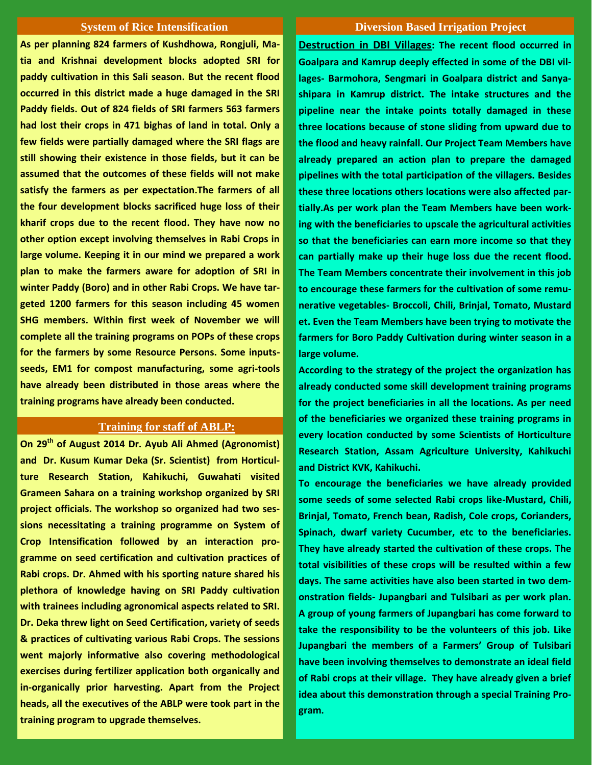**As per planning 824 farmers of Kushdhowa, Rongjuli, Matia and Krishnai development blocks adopted SRI for paddy cultivation in this Sali season. But the recent flood occurred in this district made a huge damaged in the SRI Paddy fields. Out of 824 fields of SRI farmers 563 farmers had lost their crops in 471 bighas of land in total. Only a few fields were partially damaged where the SRI flags are still showing their existence in those fields, but it can be assumed that the outcomes of these fields will not make satisfy the farmers as per expectation.The farmers of all the four development blocks sacrificed huge loss of their kharif crops due to the recent flood. They have now no other option except involving themselves in Rabi Crops in large volume. Keeping it in our mind we prepared a work plan to make the farmers aware for adoption of SRI in winter Paddy (Boro) and in other Rabi Crops. We have targeted 1200 farmers for this season including 45 women SHG members. Within first week of November we will complete all the training programs on POPs of these crops for the farmers by some Resource Persons. Some inputsseeds, EM1 for compost manufacturing, some agri-tools have already been distributed in those areas where the training programs have already been conducted.** 

# **Training for staff of ABLP:**

**On 29th of August 2014 Dr. Ayub Ali Ahmed (Agronomist) and Dr. Kusum Kumar Deka (Sr. Scientist) from Horticulture Research Station, Kahikuchi, Guwahati visited Grameen Sahara on a training workshop organized by SRI project officials. The workshop so organized had two sessions necessitating a training programme on System of Crop Intensification followed by an interaction programme on seed certification and cultivation practices of Rabi crops. Dr. Ahmed with his sporting nature shared his plethora of knowledge having on SRI Paddy cultivation with trainees including agronomical aspects related to SRI. Dr. Deka threw light on Seed Certification, variety of seeds & practices of cultivating various Rabi Crops. The sessions went majorly informative also covering methodological exercises during fertilizer application both organically and in-organically prior harvesting. Apart from the Project heads, all the executives of the ABLP were took part in the training program to upgrade themselves.**

## **System of Rice Intensification Diversion Based Irrigation Project**

**Destruction in DBI Villages: The recent flood occurred in Goalpara and Kamrup deeply effected in some of the DBI villages- Barmohora, Sengmari in Goalpara district and Sanyashipara in Kamrup district. The intake structures and the pipeline near the intake points totally damaged in these three locations because of stone sliding from upward due to the flood and heavy rainfall. Our Project Team Members have already prepared an action plan to prepare the damaged pipelines with the total participation of the villagers. Besides these three locations others locations were also affected partially.As per work plan the Team Members have been working with the beneficiaries to upscale the agricultural activities so that the beneficiaries can earn more income so that they can partially make up their huge loss due the recent flood. The Team Members concentrate their involvement in this job to encourage these farmers for the cultivation of some remunerative vegetables- Broccoli, Chili, Brinjal, Tomato, Mustard et. Even the Team Members have been trying to motivate the farmers for Boro Paddy Cultivation during winter season in a large volume.**

**According to the strategy of the project the organization has already conducted some skill development training programs for the project beneficiaries in all the locations. As per need of the beneficiaries we organized these training programs in every location conducted by some Scientists of Horticulture Research Station, Assam Agriculture University, Kahikuchi and District KVK, Kahikuchi.** 

**To encourage the beneficiaries we have already provided some seeds of some selected Rabi crops like-Mustard, Chili, Brinjal, Tomato, French bean, Radish, Cole crops, Corianders, Spinach, dwarf variety Cucumber, etc to the beneficiaries. They have already started the cultivation of these crops. The total visibilities of these crops will be resulted within a few days. The same activities have also been started in two demonstration fields- Jupangbari and Tulsibari as per work plan. A group of young farmers of Jupangbari has come forward to take the responsibility to be the volunteers of this job. Like Jupangbari the members of a Farmers' Group of Tulsibari have been involving themselves to demonstrate an ideal field of Rabi crops at their village. They have already given a brief idea about this demonstration through a special Training Program.**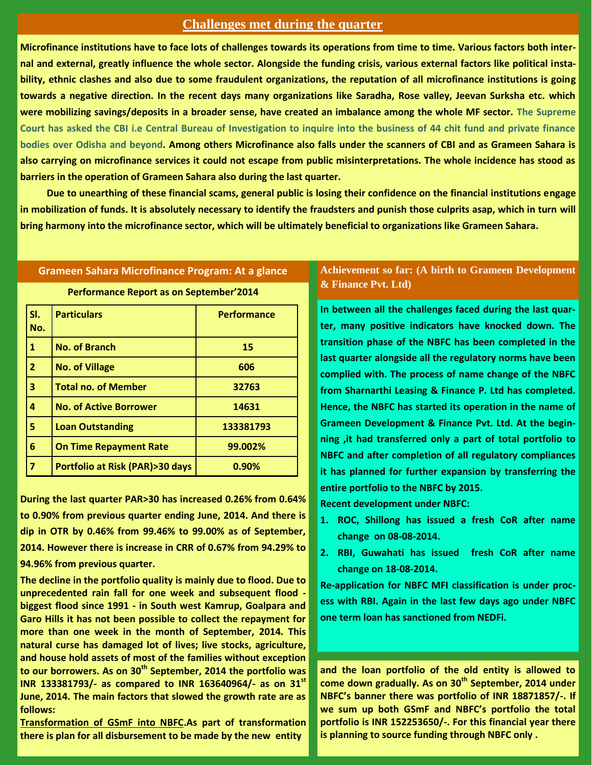# **Challenges met during the quarter**

**Microfinance institutions have to face lots of challenges towards its operations from time to time. Various factors both internal and external, greatly influence the whole sector. Alongside the funding crisis, various external factors like political instability, ethnic clashes and also due to some fraudulent organizations, the reputation of all microfinance institutions is going towards a negative direction. In the recent days many organizations like Saradha, Rose valley, Jeevan Surksha etc. which were mobilizing savings/deposits in a broader sense, have created an imbalance among the whole MF sector. The Supreme Court has asked the CBI i.e Central Bureau of Investigation to inquire into the business of 44 chit fund and private finance bodies over Odisha and beyond. Among others Microfinance also falls under the scanners of CBI and as Grameen Sahara is also carrying on microfinance services it could not escape from public misinterpretations. The whole incidence has stood as barriers in the operation of Grameen Sahara also during the last quarter.**

 **Due to unearthing of these financial scams, general public is losing their confidence on the financial institutions engage in mobilization of funds. It is absolutely necessary to identify the fraudsters and punish those culprits asap, which in turn will bring harmony into the microfinance sector, which will be ultimately beneficial to organizations like Grameen Sahara.** 

# **Grameen Sahara Microfinance Program: At a glance**

**Performance Report as on September'2014** 

**Sl. No. Particulars Performance No. of Branch 15 No. of Village 606 Total no. of Member 32763 No. of Active Borrower 14631 Loan Outstanding 133381793 On Time Repayment Rate 99.002% Portfolio at Risk (PAR)>30 days 0.90%**

**During the last quarter PAR>30 has increased 0.26% from 0.64% to 0.90% from previous quarter ending June, 2014. And there is dip in OTR by 0.46% from 99.46% to 99.00% as of September, 2014. However there is increase in CRR of 0.67% from 94.29% to 94.96% from previous quarter.**

**The decline in the portfolio quality is mainly due to flood. Due to unprecedented rain fall for one week and subsequent flood biggest flood since 1991 - in South west Kamrup, Goalpara and Garo Hills it has not been possible to collect the repayment for more than one week in the month of September, 2014. This natural curse has damaged lot of lives; live stocks, agriculture, and house hold assets of most of the families without exception to our borrowers. As on 30th September, 2014 the portfolio was INR 133381793/- as compared to INR 163640964/- as on 31st June, 2014. The main factors that slowed the growth rate are as follows:**

**Transformation of GSmF into NBFC.As part of transformation there is plan for all disbursement to be made by the new entity** 

# **Achievement so far: (A birth to Grameen Development & Finance Pvt. Ltd)**

**In between all the challenges faced during the last quarter, many positive indicators have knocked down. The transition phase of the NBFC has been completed in the last quarter alongside all the regulatory norms have been complied with. The process of name change of the NBFC from Sharnarthi Leasing & Finance P. Ltd has completed. Hence, the NBFC has started its operation in the name of Grameen Development & Finance Pvt. Ltd. At the beginning ,it had transferred only a part of total portfolio to NBFC and after completion of all regulatory compliances it has planned for further expansion by transferring the entire portfolio to the NBFC by 2015.**

**Recent development under NBFC:**

- **1. ROC, Shillong has issued a fresh CoR after name change on 08-08-2014.**
- **2. RBI, Guwahati has issued fresh CoR after name change on 18-08-2014.**

**Re-application for NBFC MFI classification is under process with RBI. Again in the last few days ago under NBFC one term loan has sanctioned from NEDFi.**

**and the loan portfolio of the old entity is allowed to come down gradually. As on 30th September, 2014 under NBFC's banner there was portfolio of INR 18871857/-. If we sum up both GSmF and NBFC's portfolio the total portfolio is INR 152253650/-. For this financial year there is planning to source funding through NBFC only .**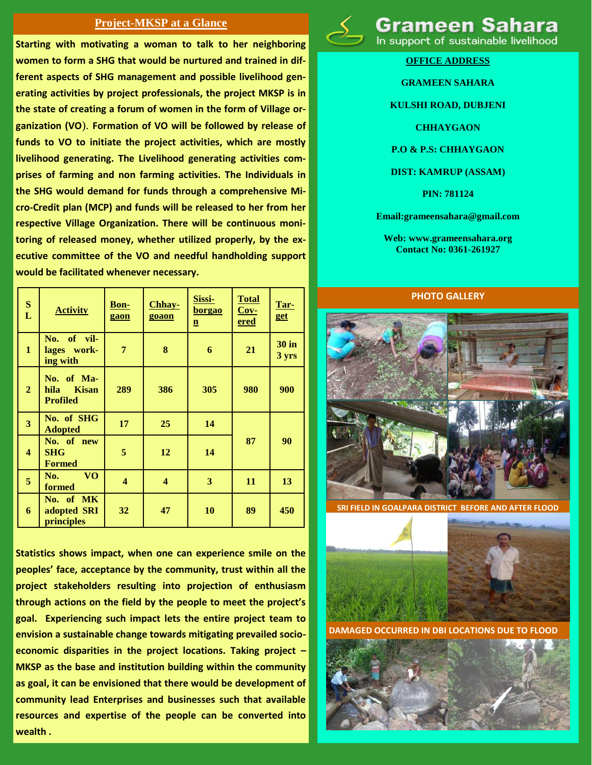# **Project-MKSP at a Glance**

**Starting with motivating a woman to talk to her neighboring women to form a SHG that would be nurtured and trained in different aspects of SHG management and possible livelihood generating activities by project professionals, the project MKSP is in the state of creating a forum of women in the form of Village organization (VO**). **Formation of VO will be followed by release of funds to VO to initiate the project activities, which are mostly livelihood generating. The Livelihood generating activities comprises of farming and non farming activities. The Individuals in the SHG would demand for funds through a comprehensive Micro-Credit plan (MCP) and funds will be released to her from her respective Village Organization. There will be continuous monitoring of released money, whether utilized properly, by the executive committee of the VO and needful handholding support would be facilitated whenever necessary.**

| S<br>L                  | <b>Activity</b>                                       | <b>Bon-</b><br>gaon     | Chhay-<br>goaon     | Sissi-<br><u>borgao</u><br>$\mathbf{n}$ | <b>Total</b><br>$Cov-$<br><u>ered</u> | Tar-<br>get           |
|-------------------------|-------------------------------------------------------|-------------------------|---------------------|-----------------------------------------|---------------------------------------|-----------------------|
| $\mathbf{1}$            | No. of vil-<br>lages work-<br>ing with                | $\overline{7}$          | 8                   | 6                                       | 21                                    | <b>30 in</b><br>3 yrs |
| $\overline{2}$          | No. of Ma-<br><b>Kisan</b><br>hila<br><b>Profiled</b> | 289                     | 386                 | 305                                     | 980                                   | 900                   |
| $\overline{\mathbf{3}}$ | No. of SHG<br><b>Adopted</b>                          | 17                      | 25                  | 14                                      |                                       |                       |
| $\overline{\mathbf{4}}$ | No. of new<br><b>SHG</b><br><b>Formed</b>             | 5                       | 12                  | 14                                      | 87                                    | 90                    |
| 5                       | <b>VO</b><br>No.<br>formed                            | $\overline{\mathbf{4}}$ | $\overline{\bf{4}}$ | 3                                       | 11                                    | 13                    |
| 6                       | No. of MK<br>adopted SRI<br>principles                | 32                      | 47                  | 10                                      | 89                                    | 450                   |

**Statistics shows impact, when one can experience smile on the peoples' face, acceptance by the community, trust within all the project stakeholders resulting into projection of enthusiasm through actions on the field by the people to meet the project's goal. Experiencing such impact lets the entire project team to envision a sustainable change towards mitigating prevailed socioeconomic disparities in the project locations. Taking project – MKSP as the base and institution building within the community as goal, it can be envisioned that there would be development of community lead Enterprises and businesses such that available resources and expertise of the people can be converted into wealth .**



Grameen Sal

In support of sustainable livelihood

**OFFICE ADDRESS**

# **GRAMEEN SAHARA**

**KULSHI ROAD, DUBJENI**

**CHHAYGAON**

**P.O & P.S: CHHAYGAON**

# **DIST: KAMRUP (ASSAM)**

**PIN: 781124**

**Email:grameensahara@gmail.com**

**Web: www.grameensahara.org Contact No: 0361-261927**

#### **PHOTO GALLERY**



**SRI FIELD IN GOALPARA DISTRICT BEFORE AND AFTER FLOOD**



**RRED IN DBI LOCATIONS DUE TO FLOOD**